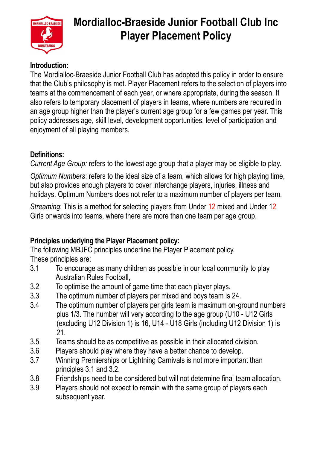

# **Mordialloc-Braeside Junior Football Club Inc Player Placement Policy**

#### **Introduction:**

The Mordialloc-Braeside Junior Football Club has adopted this policy in order to ensure that the Club's philosophy is met. Player Placement refers to the selection of players into teams at the commencement of each year, or where appropriate, during the season. It also refers to temporary placement of players in teams, where numbers are required in an age group higher than the player's current age group for a few games per year. This policy addresses age, skill level, development opportunities, level of participation and enjoyment of all playing members.

#### **Definitions:**

*Current Age Group:* refers to the lowest age group that a player may be eligible to play.

*Optimum Numbers*: refers to the ideal size of a team, which allows for high playing time, but also provides enough players to cover interchange players, injuries, illness and holidays. Optimum Numbers does not refer to a maximum number of players per team.

*Streaming*: This is a method for selecting players from Under 12 mixed and Under 12 Girls onwards into teams, where there are more than one team per age group.

#### **Principles underlying the Player Placement policy:**

The following MBJFC principles underline the Player Placement policy. These principles are:

- 3.1 To encourage as many children as possible in our local community to play Australian Rules Football,
- 3.2 To optimise the amount of game time that each player plays.
- 3.3 The optimum number of players per mixed and boys team is 24.
- 3.4 The optimum number of players per girls team is maximum on-ground numbers plus 1/3. The number will very according to the age group (U10 - U12 Girls (excluding U12 Division 1) is 16, U14 - U18 Girls (including U12 Division 1) is 21.
- 3.5 Teams should be as competitive as possible in their allocated division.
- 3.6 Players should play where they have a better chance to develop.
- 3.7 Winning Premierships or Lightning Carnivals is not more important than principles 3.1 and 3.2.
- 3.8 Friendships need to be considered but will not determine final team allocation.
- 3.9 Players should not expect to remain with the same group of players each subsequent year.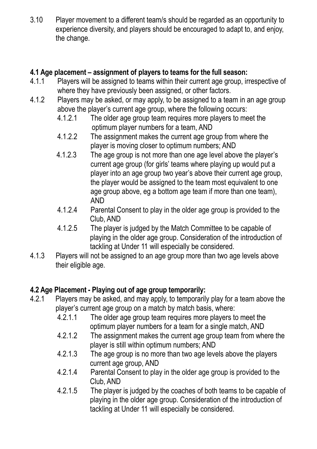3.10 Player movement to a different team/s should be regarded as an opportunity to experience diversity, and players should be encouraged to adapt to, and enjoy, the change.

## **4.1 Age placement – assignment of players to teams for the full season:**

- 4.1.1 Players will be assigned to teams within their current age group, irrespective of where they have previously been assigned, or other factors.
- 4.1.2 Players may be asked, or may apply, to be assigned to a team in an age group above the player's current age group, where the following occurs:
	- 4.1.2.1 The older age group team requires more players to meet the optimum player numbers for a team, AND
	- 4.1.2.2 The assignment makes the current age group from where the player is moving closer to optimum numbers; AND
	- 4.1.2.3 The age group is not more than one age level above the player's current age group (for girls' teams where playing up would put a player into an age group two year's above their current age group, the player would be assigned to the team most equivalent to one age group above, eg a bottom age team if more than one team), AND
	- 4.1.2.4 Parental Consent to play in the older age group is provided to the Club, AND
	- 4.1.2.5 The player is judged by the Match Committee to be capable of playing in the older age group. Consideration of the introduction of tackling at Under 11 will especially be considered.
- 4.1.3 Players will not be assigned to an age group more than two age levels above their eligible age.

## **4.2 Age Placement - Playing out of age group temporarily:**

- 4.2.1 Players may be asked, and may apply, to temporarily play for a team above the player's current age group on a match by match basis, where:
	- 4.2.1.1 The older age group team requires more players to meet the optimum player numbers for a team for a single match, AND
	- 4.2.1.2 The assignment makes the current age group team from where the player is still within optimum numbers; AND
	- 4.2.1.3 The age group is no more than two age levels above the players current age group, AND
	- 4.2.1.4 Parental Consent to play in the older age group is provided to the Club, AND
	- 4.2.1.5 The player is judged by the coaches of both teams to be capable of playing in the older age group. Consideration of the introduction of tackling at Under 11 will especially be considered.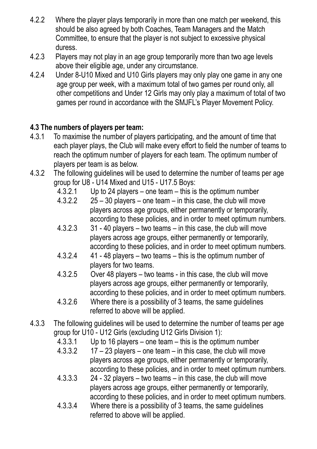- 4.2.2 Where the player plays temporarily in more than one match per weekend, this should be also agreed by both Coaches, Team Managers and the Match Committee, to ensure that the player is not subject to excessive physical duress.
- 4.2.3 Players may not play in an age group temporarily more than two age levels above their eligible age, under any circumstance.
- 4.2.4 Under 8-U10 Mixed and U10 Girls players may only play one game in any one age group per week, with a maximum total of two games per round only, all other competitions and Under 12 Girls may only play a maximum of total of two games per round in accordance with the SMJFL's Player Movement Policy.

### **4.3 The numbers of players per team:**

- 4.3.1 To maximise the number of players participating, and the amount of time that each player plays, the Club will make every effort to field the number of teams to reach the optimum number of players for each team. The optimum number of players per team is as below.
- 4.3.2 The following guidelines will be used to determine the number of teams per age group for U8 - U14 Mixed and U15 - U17.5 Boys:
	- 4.3.2.1 Up to 24 players one team this is the optimum number
	- 4.3.2.2 25 30 players one team in this case, the club will move players across age groups, either permanently or temporarily, according to these policies, and in order to meet optimum numbers.
	- 4.3.2.3 31 40 players two teams in this case, the club will move players across age groups, either permanently or temporarily, according to these policies, and in order to meet optimum numbers.
	- 4.3.2.4 41 48 players two teams this is the optimum number of players for two teams.
	- 4.3.2.5 Over 48 players two teams in this case, the club will move players across age groups, either permanently or temporarily, according to these policies, and in order to meet optimum numbers.
	- 4.3.2.6 Where there is a possibility of 3 teams, the same guidelines referred to above will be applied.
- 4.3.3 The following guidelines will be used to determine the number of teams per age group for U10 - U12 Girls (excluding U12 Girls Division 1):
	- 4.3.3.1 Up to 16 players one team this is the optimum number
	- 4.3.3.2 17 23 players one team in this case, the club will move players across age groups, either permanently or temporarily, according to these policies, and in order to meet optimum numbers.
	- 4.3.3.3 24 32 players two teams in this case, the club will move players across age groups, either permanently or temporarily, according to these policies, and in order to meet optimum numbers.
	- 4.3.3.4 Where there is a possibility of 3 teams, the same guidelines referred to above will be applied.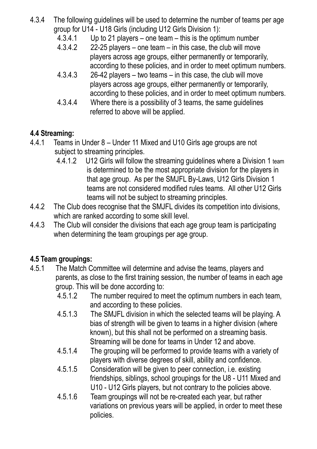- 4.3.4 The following guidelines will be used to determine the number of teams per age group for U14 - U18 Girls (including U12 Girls Division 1):
	- 4.3.4.1 Up to 21 players one team this is the optimum number
	- 4.3.4.2 22-25 players one team in this case, the club will move players across age groups, either permanently or temporarily, according to these policies, and in order to meet optimum numbers.
	- 4.3.4.3 26-42 players two teams in this case, the club will move players across age groups, either permanently or temporarily, according to these policies, and in order to meet optimum numbers.
	- 4.3.4.4 Where there is a possibility of 3 teams, the same guidelines referred to above will be applied.

## **4.4 Streaming:**

- 4.4.1 Teams in Under 8 Under 11 Mixed and U10 Girls age groups are not subject to streaming principles.
	- 4.4.1.2 U12 Girls will follow the streaming guidelines where a Division 1 team is determined to be the most appropriate division for the players in that age group. As per the SMJFL By-Laws, U12 Girls Division 1 teams are not considered modified rules teams. All other U12 Girls teams will not be subject to streaming principles.
- 4.4.2 The Club does recognise that the SMJFL divides its competition into divisions, which are ranked according to some skill level.
- 4.4.3 The Club will consider the divisions that each age group team is participating when determining the team groupings per age group.

## **4.5 Team groupings:**

- 4.5.1 The Match Committee will determine and advise the teams, players and parents, as close to the first training session, the number of teams in each age group. This will be done according to:
	- 4.5.1.2 The number required to meet the optimum numbers in each team, and according to these policies.
	- 4.5.1.3 The SMJFL division in which the selected teams will be playing. A bias of strength will be given to teams in a higher division (where known), but this shall not be performed on a streaming basis. Streaming will be done for teams in Under 12 and above.
	- 4.5.1.4 The grouping will be performed to provide teams with a variety of players with diverse degrees of skill, ability and confidence.
	- 4.5.1.5 Consideration will be given to peer connection, i.e. existing friendships, siblings, school groupings for the U8 - U11 Mixed and U10 - U12 Girls players, but not contrary to the policies above.
	- 4.5.1.6 Team groupings will not be re-created each year, but rather variations on previous years will be applied, in order to meet these policies.